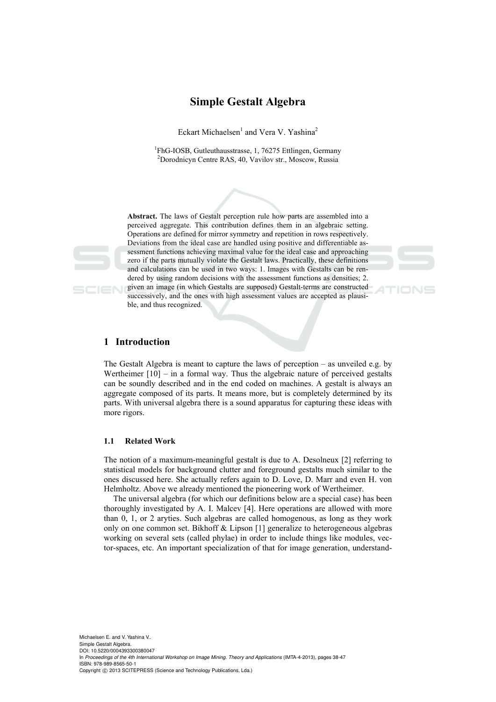# **Simple Gestalt Algebra**

Eckart Michaelsen<sup>1</sup> and Vera V. Yashina<sup>2</sup>

<sup>1</sup>FhG-IOSB, Gutleuthausstrasse, 1, 76275 Ettlingen, Germany<br><sup>2</sup>Derednisum Centre BAS, 40, Varillau et**r.** Magazur, Bussie Dorodnicyn Centre RAS, 40, Vavilov str., Moscow, Russia



**Abstract.** The laws of Gestalt perception rule how parts are assembled into a perceived aggregate. This contribution defines them in an algebraic setting. Operations are defined for mirror symmetry and repetition in rows respectively. Deviations from the ideal case are handled using positive and differentiable assessment functions achieving maximal value for the ideal case and approaching zero if the parts mutually violate the Gestalt laws. Practically, these definitions and calculations can be used in two ways: 1. Images with Gestalts can be rendered by using random decisions with the assessment functions as densities; 2.



given an image (in which Gestalts are supposed) Gestalt-terms are constructed successively, and the ones with high assessment values are accepted as plausible, and thus recognized.

# **1 Introduction**

The Gestalt Algebra is meant to capture the laws of perception – as unveiled e.g. by Wertheimer  $[10]$  – in a formal way. Thus the algebraic nature of perceived gestalts can be soundly described and in the end coded on machines. A gestalt is always an aggregate composed of its parts. It means more, but is completely determined by its parts. With universal algebra there is a sound apparatus for capturing these ideas with more rigors.

## **1.1 Related Work**

The notion of a maximum-meaningful gestalt is due to A. Desolneux [2] referring to statistical models for background clutter and foreground gestalts much similar to the ones discussed here. She actually refers again to D. Love, D. Marr and even H. von Helmholtz. Above we already mentioned the pioneering work of Wertheimer.

The universal algebra (for which our definitions below are a special case) has been thoroughly investigated by A. I. Malcev [4]. Here operations are allowed with more than 0, 1, or 2 aryties. Such algebras are called homogenous, as long as they work only on one common set. Bikhoff & Lipson [1] generalize to heterogeneous algebras working on several sets (called phylae) in order to include things like modules, vector-spaces, etc. An important specialization of that for image generation, understand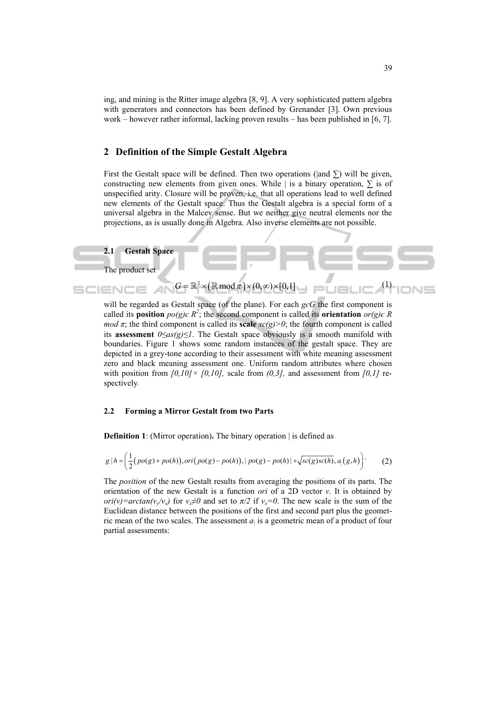ing, and mining is the Ritter image algebra [8, 9]. A very sophisticated pattern algebra with generators and connectors has been defined by Grenander [3]. Own previous work – however rather informal, lacking proven results – has been published in [6, 7].

## **2 Definition of the Simple Gestalt Algebra**

First the Gestalt space will be defined. Then two operations ( $|$ and  $\Sigma$ ) will be given, constructing new elements from given ones. While | is a binary operation,  $\Sigma$  is of unspecified arity. Closure will be proven, i.e. that all operations lead to well defined new elements of the Gestalt space. Thus the Gestalt algebra is a special form of a universal algebra in the Malcev sense. But we neither give neutral elements nor the projections, as is usually done in Algebra. Also inverse elements are not possible.



will be regarded as Gestalt space (of the plane). For each *gєG* the first component is called its **position**  $po(g)\in R^2$ ; the second component is called its **orientation**  $or(g)\in R$ *mod*  $\pi$ ; the third component is called its **scale** *sc(g)* $>0$ ; the fourth component is called its **assessment** *0≤as(g)≤1*. The Gestalt space obviously is a smooth manifold with boundaries. Figure 1 shows some random instances of the gestalt space. They are depicted in a grey-tone according to their assessment with white meaning assessment zero and black meaning assessment one. Uniform random attributes where chosen with position from  $[0,10] \times [0,10]$ , scale from  $(0,3]$ , and assessment from  $[0,1]$  respectively*.*

#### **2.2 Forming a Mirror Gestalt from two Parts**

**Definition 1**: (Mirror operation). The binary operation | is defined as

$$
g | h = \left(\frac{1}{2}(po(g) + po(h)), ori(po(g) - po(h)), | po(g) - po(h)| + \sqrt{sc(g)sc(h)}, a_{|}(g, h)\right).
$$
 (2)

The *position* of the new Gestalt results from averaging the positions of its parts. The orientation of the new Gestalt is a function *ori* of a 2D vector *v.* It is obtained by *ori(v)=arctan(v<sub>v</sub>/v<sub>x</sub>)* for  $v_x \neq 0$  and set to  $\pi/2$  if  $v_x = 0$ . The new scale is the sum of the Euclidean distance between the positions of the first and second part plus the geometric mean of the two scales. The assessment  $a<sub>l</sub>$  is a geometric mean of a product of four partial assessments: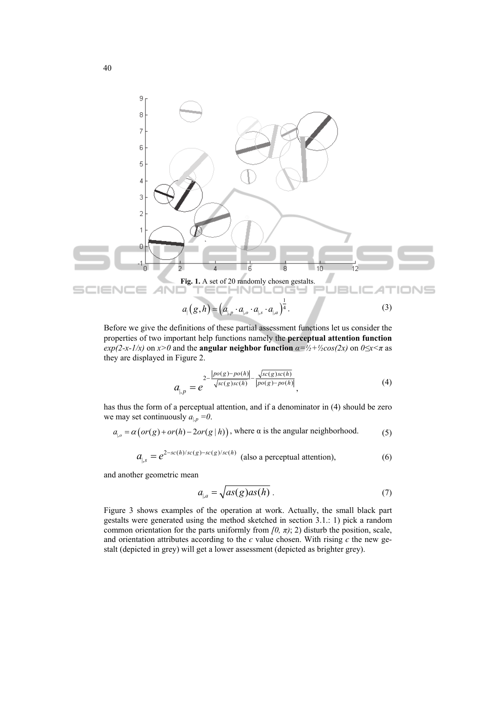

Before we give the definitions of these partial assessment functions let us consider the properties of two important help functions namely the **perceptual attention function** *exp(2-x-1/x)* on  $x > 0$  and the **angular neighbor function**  $\alpha = \frac{1}{2} + \frac{1}{2}\cos(2x)$  on  $0 \le x \le \pi$  as they are displayed in Figure 2.

$$
a_{\vert p} = e^{-\frac{2 - |p o(g) - p o(h)|}{\sqrt{sc(g) sc(h)}} - \frac{\sqrt{sc(g) sc(h)}}{|p o(g) - p o(h)|}},
$$
(4)

has thus the form of a perceptual attention, and if a denominator in (4) should be zero we may set continuously  $a_{\parallel p} = 0$ .

$$
a_{\vert,0} = \alpha \big( or(g) + or(h) - 2 or(g \vert h) \big), \text{ where } \alpha \text{ is the angular neighborhood.} \tag{5}
$$

$$
a_{\vert,s} = e^{2-sc(h)/sc(g)-sc(g)/sc(h)} \text{ (also a perceptual attention)},\tag{6}
$$

and another geometric mean

$$
a_{\parallel,a} = \sqrt{as(g)as(h)}\tag{7}
$$

Figure 3 shows examples of the operation at work. Actually, the small black part gestalts were generated using the method sketched in section 3.1.: 1) pick a random common orientation for the parts uniformly from  $[0, \pi)$ ; 2) disturb the position, scale, and orientation attributes according to the  $\epsilon$  value chosen. With rising  $\epsilon$  the new gestalt (depicted in grey) will get a lower assessment (depicted as brighter grey).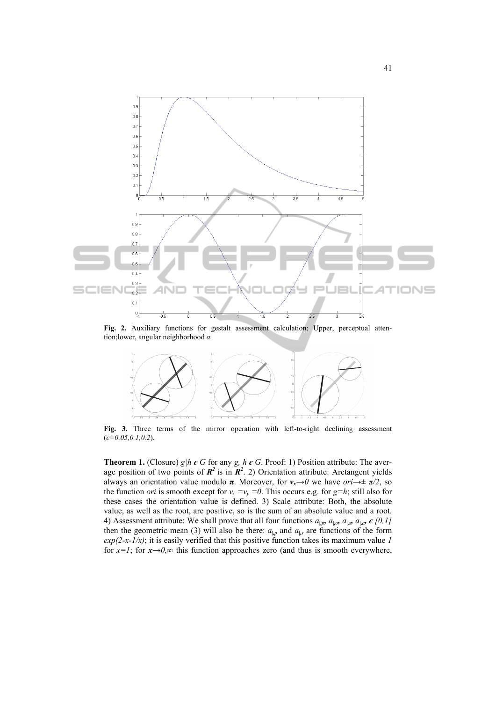

**Fig. 2.** Auxiliary functions for gestalt assessment calculation: Upper, perceptual attention;lower, angular neighborhood *α.* 



**Fig. 3.** Three terms of the mirror operation with left-to-right declining assessment (*є=0.05,0.1,0.2*).

**Theorem 1.** (Closure) *g*| $h \in G$  for any *g,*  $h \in G$ . Proof: 1) Position attribute: The average position of two points of  $\mathbb{R}^2$  is in  $\mathbb{R}^2$ . 2) Orientation attribute: Arctangent yields always an orientation value modulo  $\pi$ . Moreover, for  $v_x \rightarrow 0$  we have *ori* $\rightarrow \pm \pi/2$ , so the function *ori* is smooth except for  $v_x = v_y = 0$ . This occurs e.g. for  $g=h$ ; still also for these cases the orientation value is defined. 3) Scale attribute: Both, the absolute value, as well as the root, are positive, so is the sum of an absolute value and a root. 4) Assessment attribute: We shall prove that all four functions  $a_{\mu p}$ ,  $a_{\mu o}$ ,  $a_{\mu s}$ ,  $a_{\mu a}$ ,  $\epsilon$  [0,1] then the geometric mean (3) will also be there:  $a_{\vert p}$  and  $a_{\vert s}$  are functions of the form  $exp(2-x-1/x)$ ; it is easily verified that this positive function takes its maximum value *1* for  $x=1$ ; for  $x\rightarrow 0$ , $\infty$  this function approaches zero (and thus is smooth everywhere,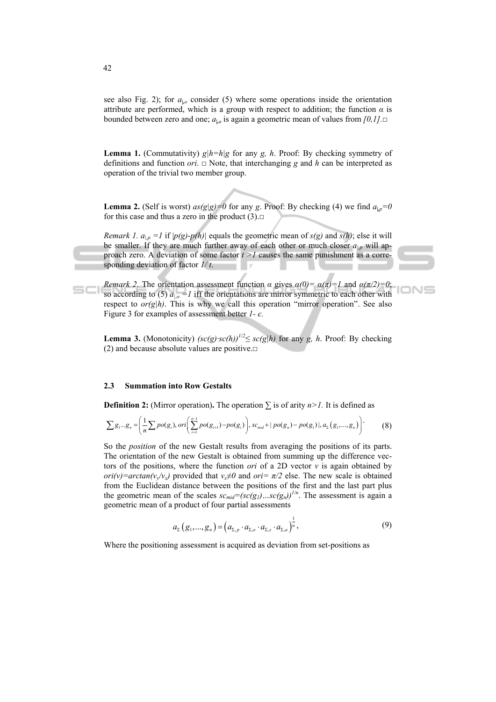see also Fig. 2); for  $a_{10}$  consider (5) where some operations inside the orientation attribute are performed, which is a group with respect to addition; the function  $\alpha$  is bounded between zero and one; *a|,a* is again a geometric mean of values from *[0,1].*□

**Lemma 1.** (Commutativity)  $g|h=h|g$  for any *g, h*. Proof: By checking symmetry of definitions and function *ori*. □ Note, that interchanging *g* and *h* can be interpreted as operation of the trivial two member group.

**Lemma 2.** (Self is worst)  $as(g|g)=0$  for any *g*. Proof: By checking (4) we find  $a_{1p}=0$ for this case and thus a zero in the product  $(3)$ . $\square$ 

*Remark 1.*  $a_{1p} = 1$  if  $|p(g)-p(h)|$  equals the geometric mean of  $s(g)$  and  $s(h)$ ; else it will be smaller. If they are much further away of each other or much closer  $a_{1p}$  will approach zero. A deviation of some factor *t >1* causes the same punishment as a corresponding deviation of factor *1/ t*.

*Remark 2.* The orientation assessment function  $\alpha$  gives  $\alpha(0) = \alpha(\pi) = 1$  and  $\alpha(\pi/2) = 0$ ; ONS so according to (5)  $a_{10} = 1$  iff the orientations are mirror symmetric to each other with respect to  $or(g|h)$ . This is why we call this operation "mirror operation". See also Figure 3 for examples of assessment better *1- є.*

**Lemma 3.** (Monotonicity)  $\left(\frac{sc(g) \cdot sc(h)}{2} \leq \frac{sc(g) \cdot h}{2} \right)$  for any *g, h.* Proof: By checking (2) and because absolute values are positive. $\Box$ 

#### **2.3 Summation into Row Gestalts**

**Definition 2:** (Mirror operation). The operation  $\Sigma$  is of arity *n>1*. It is defined as

$$
\sum g_1...g_n = \left(\frac{1}{n}\sum po(g_i), ori\left(\sum_{i=1}^{n-1}po(g_{i+1})-po(g_i)\right), sc_{mid} + |po(g_n) - po(g_1)|, a_{\sum}(g_1,...,g_n)\right)
$$
(8)

So the *position* of the new Gestalt results from averaging the positions of its parts. The orientation of the new Gestalt is obtained from summing up the difference vectors of the positions, where the function *ori* of a 2D vector *v* is again obtained by *ori(v)=arctan(v<sub>y</sub>/v<sub>x</sub>)* provided that  $v_x \neq 0$  and *ori* =  $\pi/2$  else. The new scale is obtained from the Euclidean distance between the positions of the first and the last part plus the geometric mean of the scales  $sc_{mid} = (sc(g_1) \dots sc(g_n))^{1/n}$ . The assessment is again a geometric mean of a product of four partial assessments

$$
a_{\Sigma}(g_1,...,g_n) = (a_{\Sigma,p} \cdot a_{\Sigma,o} \cdot a_{\Sigma,s} \cdot a_{\Sigma,a})^{\frac{1}{n}},
$$
\n(9)

Where the positioning assessment is acquired as deviation from set-positions as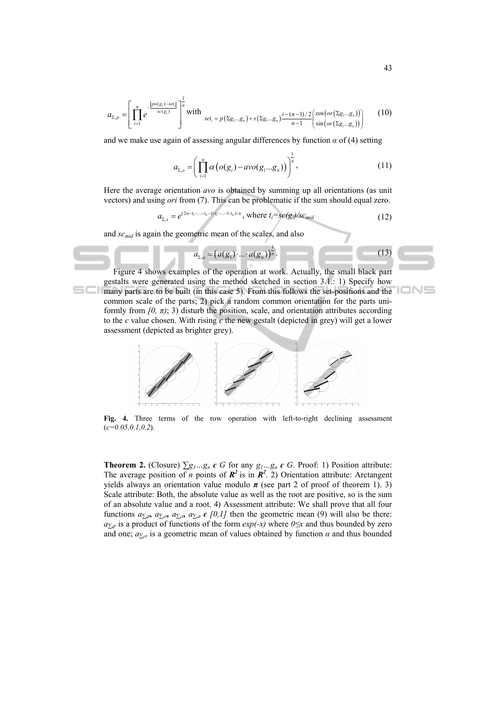$$
a_{\Sigma,p} = \left[ \prod_{i=1}^{n} e^{-\frac{|p o(g_i) - s e t_i|}{s c(g_i)}} \right]^{\frac{1}{n}} \text{ with } \sum_{s \in t_i = p(\Sigma g_1 \dots g_n) + s(\Sigma g_1 \dots g_n)} \frac{i - (n-1)/2}{n-1} \left( \frac{\cos\left( or(\Sigma g_1 \dots g_n)\right)}{\sin\left( or(\Sigma g_1 \dots g_n)\right)} \right) \tag{10}
$$

and we make use again of assessing angular differences by function  $\alpha$  of (4) setting

$$
a_{\Sigma,o} = \left(\prod_{i=1}^n \alpha\left(o(g_i) - avo(g_1...g_n)\right)\right)^{\frac{1}{n}},\tag{11}
$$

Here the average orientation *avo* is obtained by summing up all orientations (as unit vectors) and using *ori* from (7). This can be problematic if the sum should equal zero.

$$
a_{\Sigma,s} = e^{(2n-t_1-\ldots-t_n-1/t_1-\ldots-1/t_n)/n}, \text{ where } t_i = sc(g_i)/sc_{mid}
$$
 (12)

and *sc<sub>mid</sub>* is again the geometric mean of the scales, and also

$$
a_{\Sigma,a} = (a(g_1) \cdot ... \cdot a(g_n))^{\frac{1}{n}}.
$$
 (13)

Figure 4 shows examples of the operation at work. Actually, the small black part gestalts were generated using the method sketched in section 3.1.: 1) Specify how many parts are to be built (in this case 5). From this follows the set-positions and the common scale of the parts; 2) pick a random common orientation for the parts uniformly from  $(0, \pi)$ ; 3) disturb the position, scale, and orientation attributes according to the  $\epsilon$  value chosen. With rising  $\epsilon$  the new gestalt (depicted in grey) will get a lower assessment (depicted as brighter grey).



**Fig. 4.** Three terms of the row operation with left-to-right declining assessment (*є=0.05,0.1,0.2*).

**Theorem 2.** (Closure)  $\Sigma g_1...g_n$   $\epsilon$  *G* for any  $g_1...g_n$   $\epsilon$  *G*. Proof: 1) Position attribute: The average position of *n* points of  $\mathbb{R}^2$  is in  $\mathbb{R}^2$ . 2) Orientation attribute: Arctangent yields always an orientation value modulo  $\pi$  (see part 2 of proof of theorem 1). 3) Scale attribute: Both, the absolute value as well as the root are positive, so is the sum of an absolute value and a root. 4) Assessment attribute: We shall prove that all four functions  $a_{\sum p}$ ,  $a_{\sum o}$ ,  $a_{\sum o}$ ,  $a_{\sum a} \in [0,1]$  then the geometric mean (9) will also be there: *a*<sup>*∑*</sup>,*p* is a product of functions of the form *exp(-x)* where *0*≤*x* and thus bounded by zero and one;  $a_{\overline{y},o}$  is a geometric mean of values obtained by function  $\alpha$  and thus bounded

mг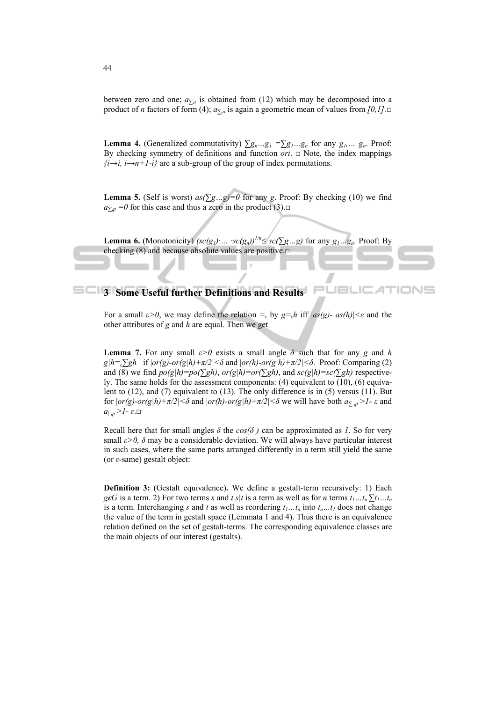between zero and one;  $a_{\Sigma,s}$  is obtained from (12) which may be decomposed into a product of *n* factors of form (4);  $a_{\sum a}$  is again a geometric mean of values from  $[0,1]$ .

**Lemma 4.** (Generalized commutativity)  $\sum g_n...g_1 = \sum g_1...g_n$  for any  $g_1...g_n$ . Proof: By checking symmetry of definitions and function *ori*. □ Note, the index mappings  $\{i \rightarrow i, i \rightarrow n+1-i\}$  are a sub-group of the group of index permutations.

**Lemma 5.** (Self is worst)  $as(\sum g...g)=0$  for any *g*. Proof: By checking (10) we find  $a_{\bar{y},p} = 0$  for this case and thus a zero in the product (3).□

**Lemma 6.** (Monotonicity)  $\left(\frac{sc(g_1)}{sm}, \frac{sc(g_n)}{sm}\right)^{1/n} \leq \frac{sc(\sum g_m g)}{sg}$  for any  $g_1...g_n$ . Proof: By checking (8) and because absolute values are positive.□

# **3 Some Useful further Definitions and Results**

For a small  $\varepsilon > 0$ , we may define the relation  $=_{\varepsilon}$  by  $g =_{\varepsilon} h$  iff  $|as(g) - as(h)| \leq \varepsilon$  and the other attributes of *g* and *h* are equal. Then we get

JE

**Lemma 7.** For any small  $\varepsilon > 0$  exists a small angle  $\delta$  such that for any *g* and *h*  $g|h = g|g|$  if  $|or(g)-or(g|h)+\pi/2| \leq \delta$  and  $|or(h)-or(g|h)+\pi/2| \leq \delta$ . Proof: Comparing (2) and (8) we find  $po(g|h)=po(\sum gh)$ ,  $or(g|h)=or(\sum gh)$ , and  $sc(g|h)=sc(\sum gh)$  respectively. The same holds for the assessment components: (4) equivalent to (10), (6) equivalent to (12), and (7) equivalent to (13). The only difference is in (5) versus (11). But for  $|or(g)-or(g|h)+\pi/2|<\delta$  and  $|or(h)-or(g|h)+\pi/2|<\delta$  we will have both  $a_{\sum,p}>1$ -  $\varepsilon$  and  $a_{\vert p} > l$  -  $\varepsilon$ .

Recall here that for small angles  $\delta$  the  $cos(\delta)$  can be approximated as *1*. So for very small  $\varepsilon$ *>0,*  $\delta$  may be a considerable deviation. We will always have particular interest in such cases, where the same parts arranged differently in a term still yield the same (or *ε*-same) gestalt object:

**Definition 3:** (Gestalt equivalence)**.** We define a gestalt-term recursively: 1) Each *g* $\epsilon$ *G* is a term. 2) For two terms *s* and *t s|t* is a term as well as for *n* terms  $t_1...t_n \sum t_1...t_n$ is a term. Interchanging *s* and *t* as well as reordering  $t_1...t_n$  into  $t_n...t_l$  does not change the value of the term in gestalt space (Lemmata 1 and 4). Thus there is an equivalence relation defined on the set of gestalt-terms. The corresponding equivalence classes are the main objects of our interest (gestalts).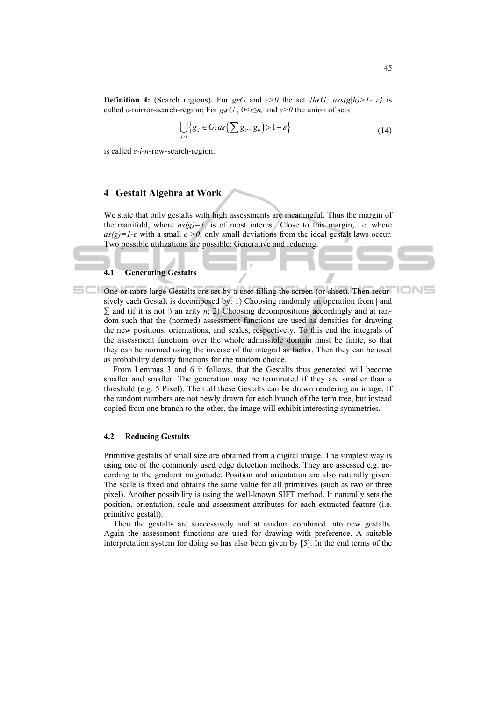**Definition 4:** (Search regions). For *g* $\epsilon$ *G* and  $\epsilon$ *>0* the set *{h* $\epsilon$ *G;* ass(*g*|*h*)*>1*-  $\epsilon$ *}* is called *ε*-mirror-search-region; For  $g_i \epsilon G$ ,  $0 \le i \le n$ , and  $\varepsilon > 0$  the union of sets

$$
\bigcup_{j \neq i} \{g_j \in G; as\left(\sum g_1...g_n\right) > 1 - \varepsilon\} \tag{14}
$$

is called *ε-i-n*-row-search-region.

## **4 Gestalt Algebra at Work**

We state that only gestalts with high assessments are meaningful. Thus the margin of the manifold, where  $as(g)=1$ , is of most interest. Close to this margin, i.e. where  $as(g)=1-\epsilon$  with a small  $\epsilon > 0$ , only small deviations from the ideal gestalt laws occur. Two possible utilizations are possible: Generative and reducing.

### **4.1 Generating Gestalts**

One or more large Gestalts are set by a user filling the screen (or sheet). Then recursively each Gestalt is decomposed by: 1) Choosing randomly an operation from | and *∑* and (if it is not |) an arity *n*; 2) Choosing decompositions accordingly and at random such that the (normed) assessment functions are used as densities for drawing the new positions, orientations, and scales, respectively. To this end the integrals of the assessment functions over the whole admissible domain must be finite, so that they can be normed using the inverse of the integral as factor. Then they can be used as probability density functions for the random choice.

From Lemmas 3 and 6 it follows, that the Gestalts thus generated will become smaller and smaller. The generation may be terminated if they are smaller than a threshold (e.g. 5 Pixel). Then all these Gestalts can be drawn rendering an image. If the random numbers are not newly drawn for each branch of the term tree, but instead copied from one branch to the other, the image will exhibit interesting symmetries.

### **4.2 Reducing Gestalts**

Primitive gestalts of small size are obtained from a digital image. The simplest way is using one of the commonly used edge detection methods. They are assessed e.g. according to the gradient magnitude. Position and orientation are also naturally given. The scale is fixed and obtains the same value for all primitives (such as two or three pixel). Another possibility is using the well-known SIFT method. It naturally sets the position, orientation, scale and assessment attributes for each extracted feature (i.e. primitive gestalt).

Then the gestalts are successively and at random combined into new gestalts. Again the assessment functions are used for drawing with preference. A suitable interpretation system for doing so has also been given by [5]. In the end terms of the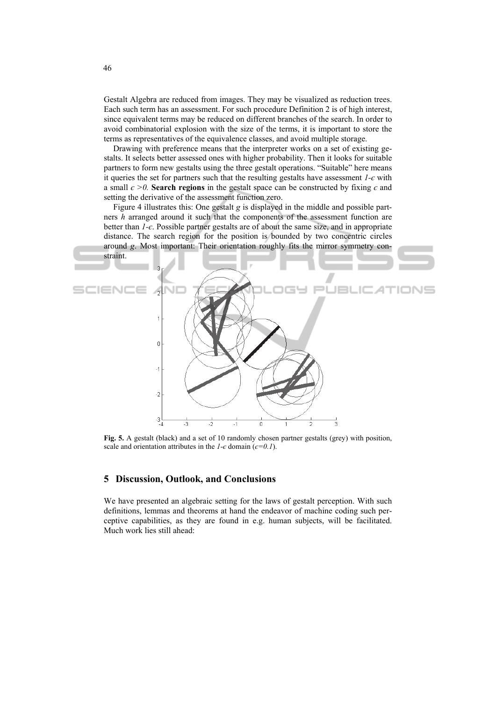Gestalt Algebra are reduced from images. They may be visualized as reduction trees. Each such term has an assessment. For such procedure Definition 2 is of high interest, since equivalent terms may be reduced on different branches of the search. In order to avoid combinatorial explosion with the size of the terms, it is important to store the terms as representatives of the equivalence classes, and avoid multiple storage.

Drawing with preference means that the interpreter works on a set of existing gestalts. It selects better assessed ones with higher probability. Then it looks for suitable partners to form new gestalts using the three gestalt operations. "Suitable" here means it queries the set for partners such that the resulting gestalts have assessment *1-є* with a small  $\epsilon > 0$ . **Search regions** in the gestalt space can be constructed by fixing  $\epsilon$  and setting the derivative of the assessment function zero.

Figure 4 illustrates this: One gestalt *g* is displayed in the middle and possible partners *h* arranged around it such that the components of the assessment function are better than *1-є*. Possible partner gestalts are of about the same size, and in appropriate distance. The search region for the position is bounded by two concentric circles around *g*. Most important: Their orientation roughly fits the mirror symmetry constraint.



**Fig. 5.** A gestalt (black) and a set of 10 randomly chosen partner gestalts (grey) with position, scale and orientation attributes in the  $1-\epsilon$  domain ( $\epsilon=0.1$ ).

## **5 Discussion, Outlook, and Conclusions**

We have presented an algebraic setting for the laws of gestalt perception. With such definitions, lemmas and theorems at hand the endeavor of machine coding such perceptive capabilities, as they are found in e.g. human subjects, will be facilitated. Much work lies still ahead: